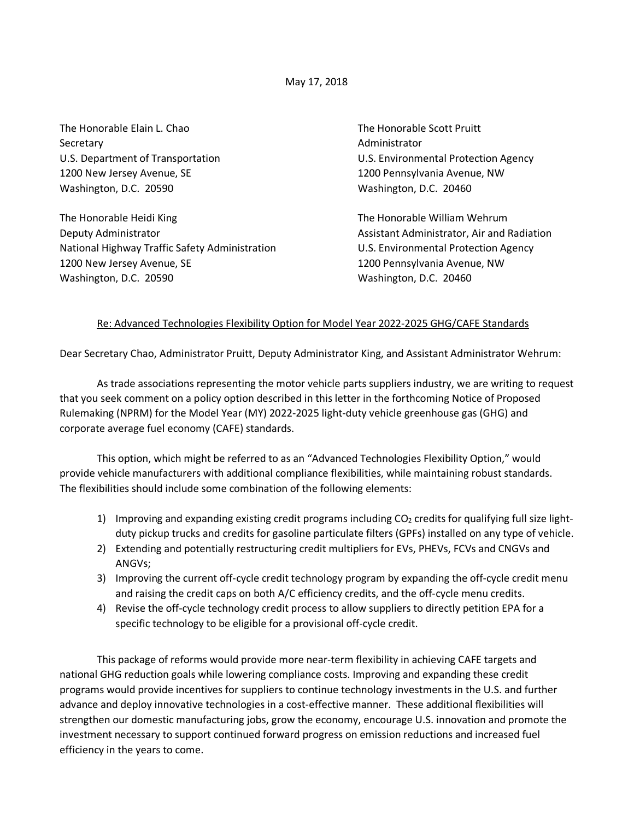May 17, 2018

The Honorable Elain L. Chao The Honorable Scott Pruitt Secretary **Administrator** Administrator 1200 New Jersey Avenue, SE 1200 Pennsylvania Avenue, NW Washington, D.C. 20590 Washington, D.C. 20460

The Honorable Heidi King The Honorable William Wehrum Deputy Administrator **Assistant Administrator** Assistant Administrator, Air and Radiation National Highway Traffic Safety Administration U.S. Environmental Protection Agency 1200 New Jersey Avenue, SE 1200 Pennsylvania Avenue, NW Washington, D.C. 20590 Washington, D.C. 20460

U.S. Department of Transportation **U.S. Environmental Protection Agency** 

## Re: Advanced Technologies Flexibility Option for Model Year 2022-2025 GHG/CAFE Standards

Dear Secretary Chao, Administrator Pruitt, Deputy Administrator King, and Assistant Administrator Wehrum:

As trade associations representing the motor vehicle parts suppliers industry, we are writing to request that you seek comment on a policy option described in this letter in the forthcoming Notice of Proposed Rulemaking (NPRM) for the Model Year (MY) 2022-2025 light-duty vehicle greenhouse gas (GHG) and corporate average fuel economy (CAFE) standards.

This option, which might be referred to as an "Advanced Technologies Flexibility Option," would provide vehicle manufacturers with additional compliance flexibilities, while maintaining robust standards. The flexibilities should include some combination of the following elements:

- 1) Improving and expanding existing credit programs including  $CO<sub>2</sub>$  credits for qualifying full size lightduty pickup trucks and credits for gasoline particulate filters (GPFs) installed on any type of vehicle.
- 2) Extending and potentially restructuring credit multipliers for EVs, PHEVs, FCVs and CNGVs and ANGVs;
- 3) Improving the current off-cycle credit technology program by expanding the off-cycle credit menu and raising the credit caps on both A/C efficiency credits, and the off-cycle menu credits.
- 4) Revise the off-cycle technology credit process to allow suppliers to directly petition EPA for a specific technology to be eligible for a provisional off-cycle credit.

This package of reforms would provide more near-term flexibility in achieving CAFE targets and national GHG reduction goals while lowering compliance costs. Improving and expanding these credit programs would provide incentives for suppliers to continue technology investments in the U.S. and further advance and deploy innovative technologies in a cost-effective manner. These additional flexibilities will strengthen our domestic manufacturing jobs, grow the economy, encourage U.S. innovation and promote the investment necessary to support continued forward progress on emission reductions and increased fuel efficiency in the years to come.